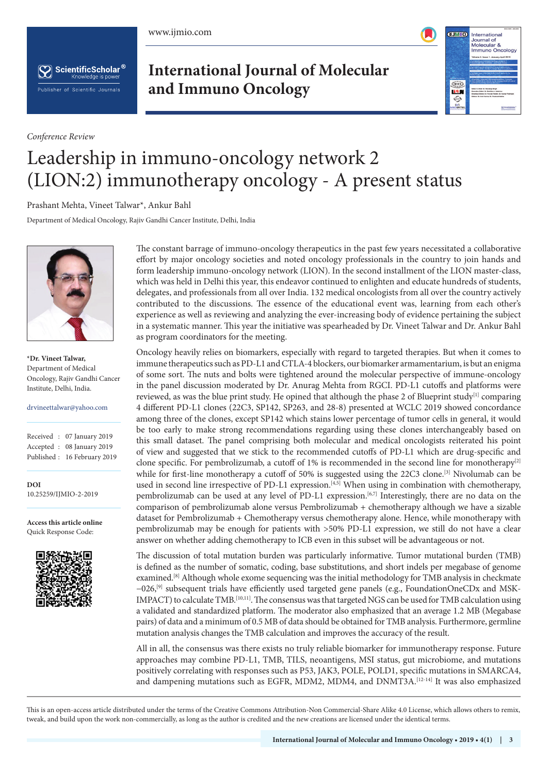www.ijmio.com



ScientificScholar® Knowledge is powe Publisher of Scientific Journals

*Conference Review*

**International Journal of Molecular and Immuno Oncology**



## Leadership in immuno-oncology network 2 (LION:2) immunotherapy oncology - A present status

Prashant Mehta, Vineet Talwar\*, Ankur Bahl

Department of Medical Oncology, Rajiv Gandhi Cancer Institute, Delhi, India



**\*Dr. Vineet Talwar,** Department of Medical Oncology, Rajiv Gandhi Cancer Institute, Delhi, India.

## drvineettalwar@yahoo.com

|  | Received: 07 January 2019   |
|--|-----------------------------|
|  | Accepted : 08 January 2019  |
|  | Published: 16 February 2019 |

**DOI** 10.25259/IJMIO-2-2019

**Access this article online** Quick Response Code:



The constant barrage of immuno-oncology therapeutics in the past few years necessitated a collaborative effort by major oncology societies and noted oncology professionals in the country to join hands and form leadership immuno-oncology network (LION). In the second installment of the LION master-class, which was held in Delhi this year, this endeavor continued to enlighten and educate hundreds of students, delegates, and professionals from all over India. 132 medical oncologists from all over the country actively contributed to the discussions. The essence of the educational event was, learning from each other's experience as well as reviewing and analyzing the ever-increasing body of evidence pertaining the subject in a systematic manner. This year the initiative was spearheaded by Dr. Vineet Talwar and Dr. Ankur Bahl as program coordinators for the meeting.

Oncology heavily relies on biomarkers, especially with regard to targeted therapies. But when it comes to immune therapeutics such as PD-L1 and CTLA-4 blockers, our biomarker armamentarium, is but an enigma of some sort. The nuts and bolts were tightened around the molecular perspective of immune-oncology in the panel discussion moderated by Dr. Anurag Mehta from RGCI. PD-L1 cutoffs and platforms were reviewed, as was the blue print study. He opined that although the phase 2 of Blueprint study<sup>[1]</sup> comparing 4 different PD-L1 clones (22C3, SP142, SP263, and 28-8) presented at WCLC 2019 showed concordance among three of the clones, except SP142 which stains lower percentage of tumor cells in general, it would be too early to make strong recommendations regarding using these clones interchangeably based on this small dataset. The panel comprising both molecular and medical oncologists reiterated his point of view and suggested that we stick to the recommended cutoffs of PD-L1 which are drug-specific and clone specific. For pembrolizumab, a cutoff of 1% is recommended in the second line for monotherapy<sup>[2]</sup> while for first-line monotherapy a cutoff of 50% is suggested using the 22C3 clone.<sup>[3]</sup> Nivolumab can be used in second line irrespective of PD-L1 expression.[4,5] When using in combination with chemotherapy, pembrolizumab can be used at any level of PD-L1 expression.<sup>[6,7]</sup> Interestingly, there are no data on the comparison of pembrolizumab alone versus Pembrolizumab + chemotherapy although we have a sizable dataset for Pembrolizumab + Chemotherapy versus chemotherapy alone. Hence, while monotherapy with pembrolizumab may be enough for patients with >50% PD-L1 expression, we still do not have a clear answer on whether adding chemotherapy to ICB even in this subset will be advantageous or not.

The discussion of total mutation burden was particularly informative. Tumor mutational burden (TMB) is defined as the number of somatic, coding, base substitutions, and short indels per megabase of genome examined.[8] Although whole exome sequencing was the initial methodology for TMB analysis in checkmate −026,[9] subsequent trials have efficiently used targeted gene panels (e.g., FoundationOneCDx and MSK-IMPACT) to calculate TMB.[10,11]. The consensus was that targeted NGS can be used for TMB calculation using a validated and standardized platform. The moderator also emphasized that an average 1.2 MB (Megabase pairs) of data and a minimum of 0.5 MB of data should be obtained for TMB analysis. Furthermore, germline mutation analysis changes the TMB calculation and improves the accuracy of the result.

All in all, the consensus was there exists no truly reliable biomarker for immunotherapy response. Future approaches may combine PD-L1, TMB, TILS, neoantigens, MSI status, gut microbiome, and mutations positively correlating with responses such as P53, JAK3, POLE, POLD1, specific mutations in SMARCA4, and dampening mutations such as EGFR, MDM2, MDM4, and DNMT3A.[12-14] It was also emphasized

This is an open-access article distributed under the terms of the Creative Commons Attribution-Non Commercial-Share Alike 4.0 License, which allows others to remix, tweak, and build upon the work non-commercially, as long as the author is credited and the new creations are licensed under the identical terms.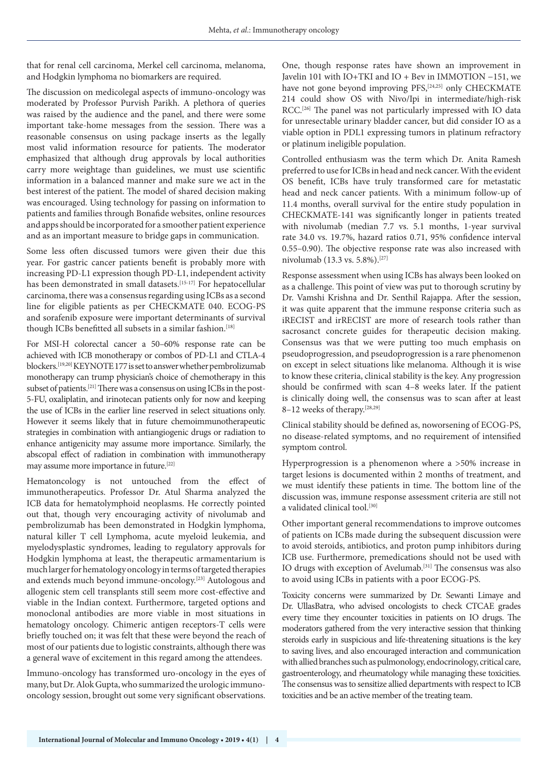that for renal cell carcinoma, Merkel cell carcinoma, melanoma, and Hodgkin lymphoma no biomarkers are required.

The discussion on medicolegal aspects of immuno-oncology was moderated by Professor Purvish Parikh. A plethora of queries was raised by the audience and the panel, and there were some important take-home messages from the session. There was a reasonable consensus on using package inserts as the legally most valid information resource for patients. The moderator emphasized that although drug approvals by local authorities carry more weightage than guidelines, we must use scientific information in a balanced manner and make sure we act in the best interest of the patient. The model of shared decision making was encouraged. Using technology for passing on information to patients and families through Bonafide websites, online resources and apps should be incorporated for a smoother patient experience and as an important measure to bridge gaps in communication.

Some less often discussed tumors were given their due this year. For gastric cancer patients benefit is probably more with increasing PD-L1 expression though PD-L1, independent activity has been demonstrated in small datasets.<sup>[15-17]</sup> For hepatocellular carcinoma, there was a consensus regarding using ICBs as a second line for eligible patients as per CHECKMATE 040. ECOG-PS and sorafenib exposure were important determinants of survival though ICBs benefitted all subsets in a similar fashion.<sup>[18]</sup>

For MSI-H colorectal cancer a 50–60% response rate can be achieved with ICB monotherapy or combos of PD-L1 and CTLA-4 blockers.[19,20] KEYNOTE 177 is set to answer whether pembrolizumab monotherapy can trump physician's choice of chemotherapy in this subset of patients.<sup>[21]</sup> There was a consensus on using ICBs in the post-5-FU, oxaliplatin, and irinotecan patients only for now and keeping the use of ICBs in the earlier line reserved in select situations only. However it seems likely that in future chemoimmunotherapeutic strategies in combination with antiangiogenic drugs or radiation to enhance antigenicity may assume more importance. Similarly, the abscopal effect of radiation in combination with immunotherapy may assume more importance in future.[22]

Hematoncology is not untouched from the effect of immunotherapeutics. Professor Dr. Atul Sharma analyzed the ICB data for hematolymphoid neoplasms. He correctly pointed out that, though very encouraging activity of nivolumab and pembrolizumab has been demonstrated in Hodgkin lymphoma, natural killer T cell Lymphoma, acute myeloid leukemia, and myelodysplastic syndromes, leading to regulatory approvals for Hodgkin lymphoma at least, the therapeutic armamentarium is much larger for hematology oncology in terms of targeted therapies and extends much beyond immune-oncology.[23] Autologous and allogenic stem cell transplants still seem more cost-effective and viable in the Indian context. Furthermore, targeted options and monoclonal antibodies are more viable in most situations in hematology oncology. Chimeric antigen receptors-T cells were briefly touched on; it was felt that these were beyond the reach of most of our patients due to logistic constraints, although there was a general wave of excitement in this regard among the attendees.

Immuno-oncology has transformed uro-oncology in the eyes of many, but Dr. Alok Gupta, who summarized the urologic immunooncology session, brought out some very significant observations.

One, though response rates have shown an improvement in Javelin 101 with IO+TKI and IO + Bev in IMMOTION −151, we have not gone beyond improving PFS,<sup>[24,25]</sup> only CHECKMATE 214 could show OS with Nivo/Ipi in intermediate/high-risk RCC.<sup>[26]</sup> The panel was not particularly impressed with IO data for unresectable urinary bladder cancer, but did consider IO as a viable option in PDL1 expressing tumors in platinum refractory or platinum ineligible population.

Controlled enthusiasm was the term which Dr. Anita Ramesh preferred to use for ICBs in head and neck cancer. With the evident OS benefit, ICBs have truly transformed care for metastatic head and neck cancer patients. With a minimum follow-up of 11.4 months, overall survival for the entire study population in CHECKMATE-141 was significantly longer in patients treated with nivolumab (median 7.7 vs. 5.1 months, 1-year survival rate 34.0 vs. 19.7%, hazard ratios 0.71, 95% confidence interval 0.55–0.90). The objective response rate was also increased with nivolumab (13.3 vs. 5.8%).[27]

Response assessment when using ICBs has always been looked on as a challenge. This point of view was put to thorough scrutiny by Dr. Vamshi Krishna and Dr. Senthil Rajappa. After the session, it was quite apparent that the immune response criteria such as iRECIST and irRECIST are more of research tools rather than sacrosanct concrete guides for therapeutic decision making. Consensus was that we were putting too much emphasis on pseudoprogression, and pseudoprogression is a rare phenomenon on except in select situations like melanoma. Although it is wise to know these criteria, clinical stability is the key. Any progression should be confirmed with scan 4–8 weeks later. If the patient is clinically doing well, the consensus was to scan after at least 8-12 weeks of therapy.<sup>[28,29]</sup>

Clinical stability should be defined as, noworsening of ECOG-PS, no disease-related symptoms, and no requirement of intensified symptom control.

Hyperprogression is a phenomenon where a >50% increase in target lesions is documented within 2 months of treatment, and we must identify these patients in time. The bottom line of the discussion was, immune response assessment criteria are still not a validated clinical tool.<sup>[30]</sup>

Other important general recommendations to improve outcomes of patients on ICBs made during the subsequent discussion were to avoid steroids, antibiotics, and proton pump inhibitors during ICB use. Furthermore, premedications should not be used with IO drugs with exception of Avelumab.[31] The consensus was also to avoid using ICBs in patients with a poor ECOG-PS.

Toxicity concerns were summarized by Dr. Sewanti Limaye and Dr. UllasBatra, who advised oncologists to check CTCAE grades every time they encounter toxicities in patients on IO drugs. The moderators gathered from the very interactive session that thinking steroids early in suspicious and life-threatening situations is the key to saving lives, and also encouraged interaction and communication with allied branches such as pulmonology, endocrinology, critical care, gastroenterology, and rheumatology while managing these toxicities. The consensus was to sensitize allied departments with respect to ICB toxicities and be an active member of the treating team.